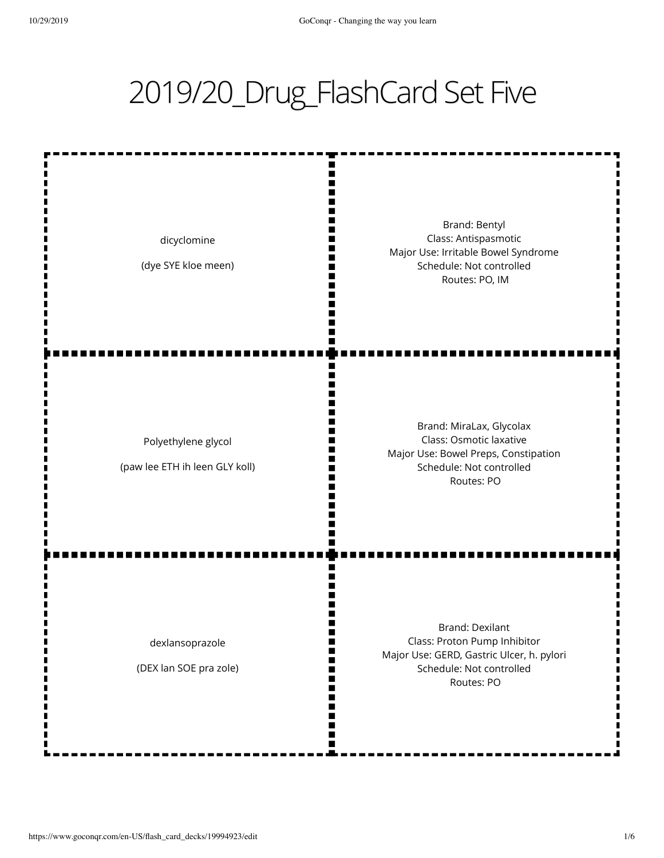## 2019/20\_Drug\_FlashCard Set Five

ш m Ш I٢

H m Ш

Ш п N

M N٢

ш

W H m Ш

m m

dicyclomine

(dye SYE kloe meen)

Brand: Bentyl Class: Antispasmotic Major Use: Irritable Bowel Syndrome Schedule: Not controlled Routes: PO, IM

Polyethylene glycol

(paw lee ETH ih leen GLY koll)

Brand: MiraLax, Glycolax Class: Osmotic laxative Major Use: Bowel Preps, Constipation Schedule: Not controlled Routes: PO

dexlansoprazole

(DEX lan SOE pra zole)

Brand: Dexilant Class: Proton Pump Inhibitor Major Use: GERD, Gastric Ulcer, h. pylori Schedule: Not controlled Routes: PO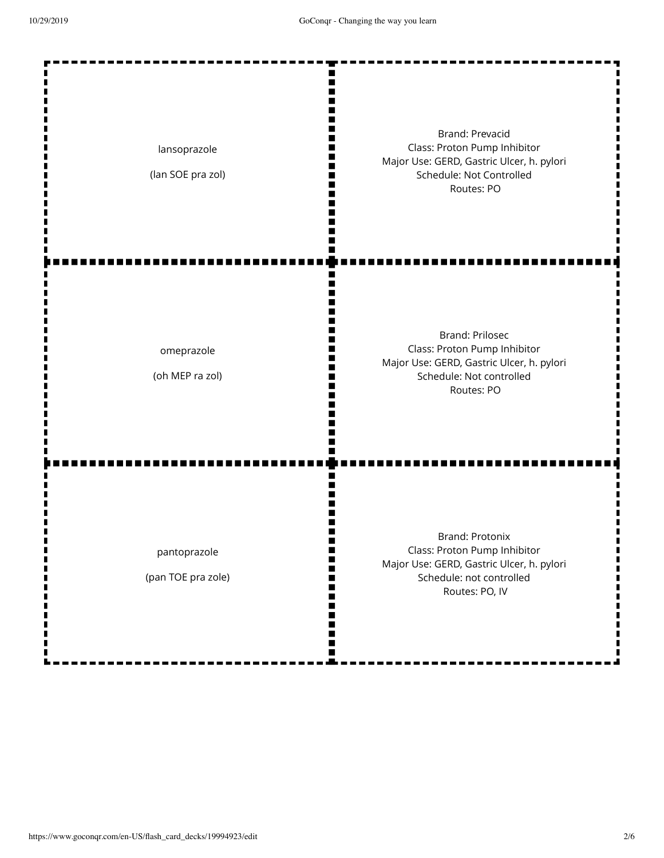п

П

| lansoprazole<br>(lan SOE pra zol)  | Brand: Prevacid<br>Class: Proton Pump Inhibitor<br>Major Use: GERD, Gastric Ulcer, h. pylori<br>Schedule: Not Controlled<br>Routes: PO            |
|------------------------------------|---------------------------------------------------------------------------------------------------------------------------------------------------|
| omeprazole<br>(oh MEP ra zol)      | <b>Brand: Prilosec</b><br>Class: Proton Pump Inhibitor<br>Major Use: GERD, Gastric Ulcer, h. pylori<br>Schedule: Not controlled<br>Routes: PO     |
| pantoprazole<br>(pan TOE pra zole) | <b>Brand: Protonix</b><br>Class: Proton Pump Inhibitor<br>Major Use: GERD, Gastric Ulcer, h. pylori<br>Schedule: not controlled<br>Routes: PO, IV |

 $\blacksquare$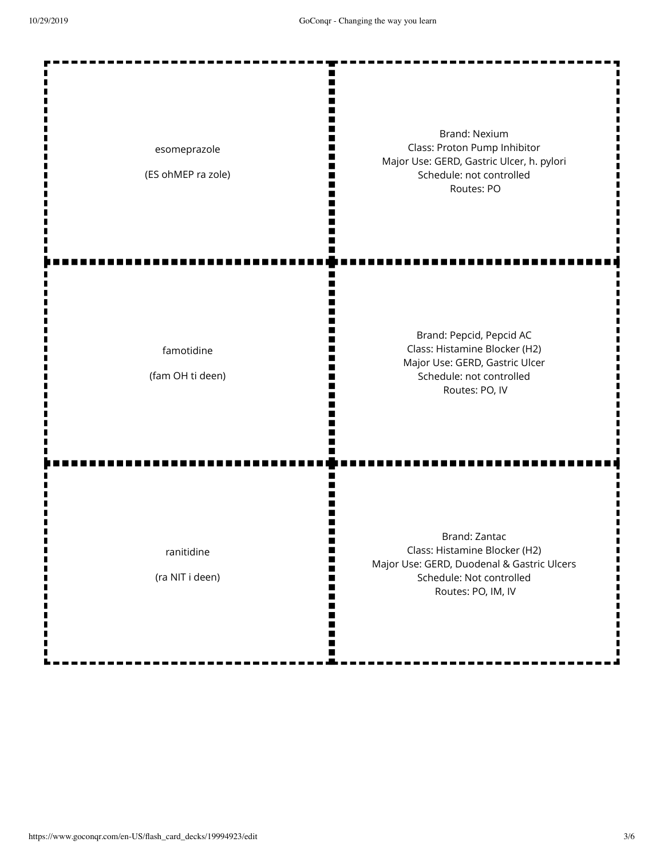Ţ

П

| esomeprazole<br>(ES ohMEP ra zole) | <b>Brand: Nexium</b><br>Class: Proton Pump Inhibitor<br>Major Use: GERD, Gastric Ulcer, h. pylori<br>Schedule: not controlled<br>Routes: PO    |
|------------------------------------|------------------------------------------------------------------------------------------------------------------------------------------------|
| famotidine<br>(fam OH ti deen)     | Brand: Pepcid, Pepcid AC<br>Class: Histamine Blocker (H2)<br>Major Use: GERD, Gastric Ulcer<br>Schedule: not controlled<br>Routes: PO, IV      |
| ranitidine<br>(ra NIT i deen)      | Brand: Zantac<br>Class: Histamine Blocker (H2)<br>Major Use: GERD, Duodenal & Gastric Ulcers<br>Schedule: Not controlled<br>Routes: PO, IM, IV |

ō

۰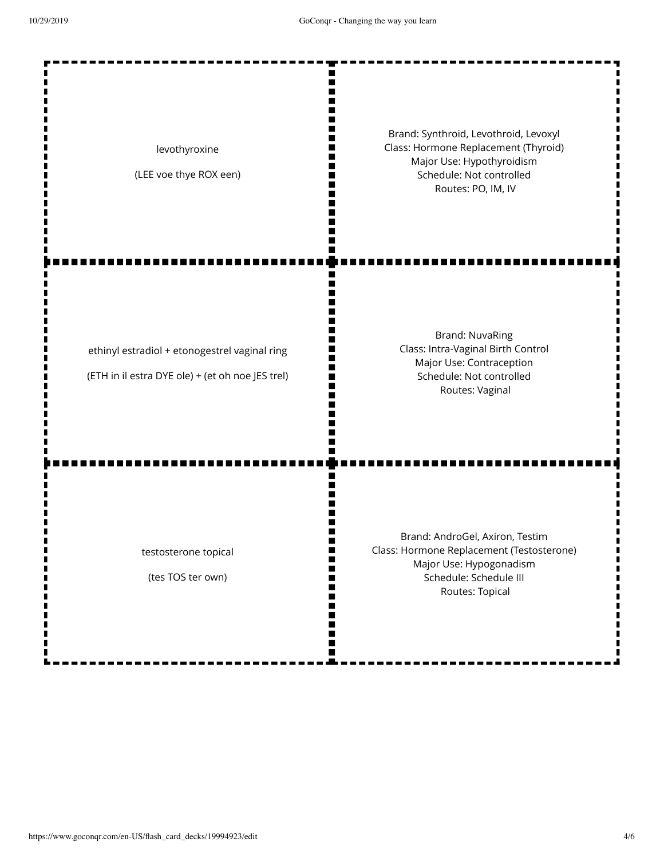Ш II. п II. П

П m II. W m

Ш Ш II.

ш N Ш

ш

m Ш ш ш H Ш m

m I٢

levothyroxine

(LEE voe thye ROX een)

Brand: Synthroid, Levothroid, Levoxyl Class: Hormone Replacement (Thyroid) Major Use: Hypothyroidism Schedule: Not controlled Routes: PO, IM, IV

ethinyl estradiol + etonogestrel vaginal ring

(ETH in il estra DYE ole) + (et oh noe JES trel)

Brand: NuvaRing Class: Intra-Vaginal Birth Control Major Use: Contraception Schedule: Not controlled Routes: Vaginal

testosterone topical

(tes TOS ter own)

Brand: AndroGel, Axiron, Testim Class: Hormone Replacement (Testosterone) Major Use: Hypogonadism Schedule: Schedule III Routes: Topical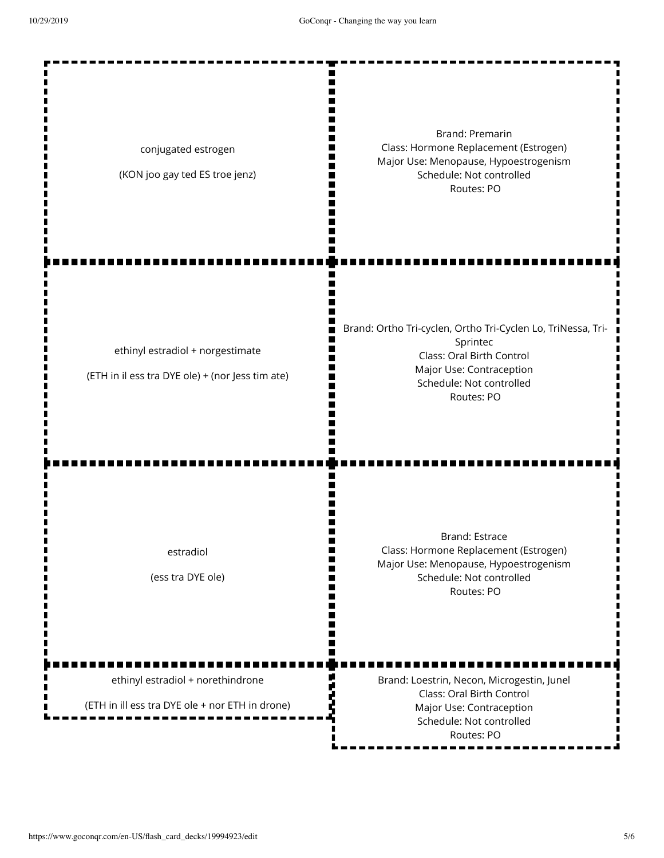Ш

conjugated estrogen

(KON joo gay ted ES troe jenz)

Brand: Premarin Class: Hormone Replacement (Estrogen) Major Use: Menopause, Hypoestrogenism Schedule: Not controlled Routes: PO

ethinyl estradiol + norgestimate

(ETH in il ess tra DYE ole) + (nor Jess tim ate)

Brand: Ortho Tri-cyclen, Ortho Tri-Cyclen Lo, TriNessa, Tri-Sprintec Class: Oral Birth Control Major Use: Contraception Schedule: Not controlled Routes: PO

estradiol

(ess tra DYE ole)

Brand: Estrace Class: Hormone Replacement (Estrogen) Major Use: Menopause, Hypoestrogenism Schedule: Not controlled Routes: PO

ethinyl estradiol + norethindrone

(ETH in ill ess tra DYE ole + nor ETH in drone)

Brand: Loestrin, Necon, Microgestin, Junel Class: Oral Birth Control Major Use: Contraception Schedule: Not controlled Routes: PO